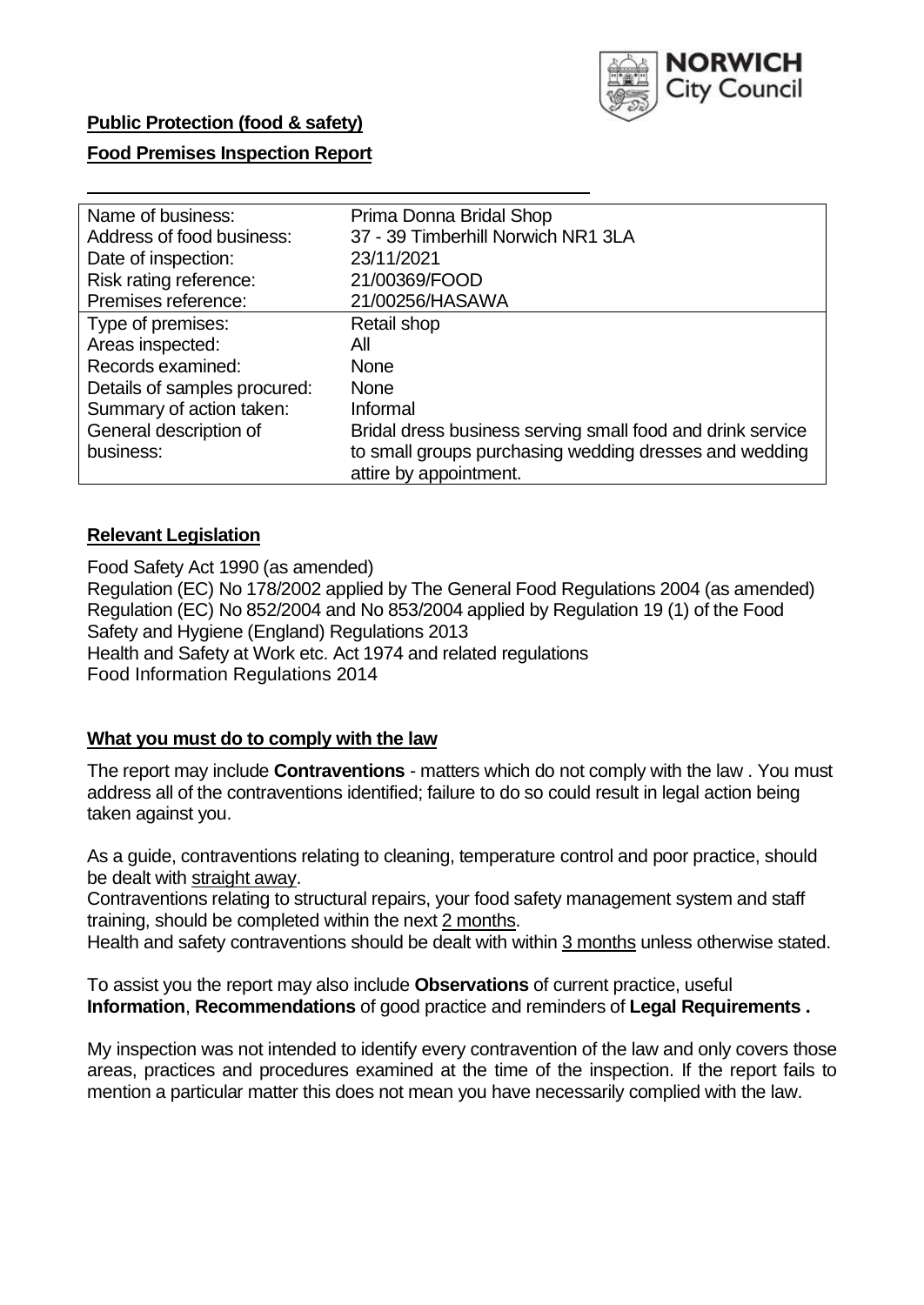

## **Public Protection (food & safety)**

## **Food Premises Inspection Report**

| Name of business:            | Prima Donna Bridal Shop                                    |
|------------------------------|------------------------------------------------------------|
| Address of food business:    | 37 - 39 Timberhill Norwich NR1 3LA                         |
| Date of inspection:          | 23/11/2021                                                 |
| Risk rating reference:       | 21/00369/FOOD                                              |
| Premises reference:          | 21/00256/HASAWA                                            |
| Type of premises:            | Retail shop                                                |
| Areas inspected:             | All                                                        |
| Records examined:            | <b>None</b>                                                |
| Details of samples procured: | <b>None</b>                                                |
| Summary of action taken:     | Informal                                                   |
| General description of       | Bridal dress business serving small food and drink service |
| business:                    | to small groups purchasing wedding dresses and wedding     |
|                              | attire by appointment.                                     |

## **Relevant Legislation**

 Food Safety Act 1990 (as amended) Regulation (EC) No 178/2002 applied by The General Food Regulations 2004 (as amended) Regulation (EC) No 852/2004 and No 853/2004 applied by Regulation 19 (1) of the Food Safety and Hygiene (England) Regulations 2013 Health and Safety at Work etc. Act 1974 and related regulations Food Information Regulations 2014

## **What you must do to comply with the law**

 The report may include **Contraventions** - matters which do not comply with the law . You must address all of the contraventions identified; failure to do so could result in legal action being taken against you.

 As a guide, contraventions relating to cleaning, temperature control and poor practice, should be dealt with straight away.

 Contraventions relating to structural repairs, your food safety management system and staff training, should be completed within the next 2 months.

Health and safety contraventions should be dealt with within 3 months unless otherwise stated.

 To assist you the report may also include **Observations** of current practice, useful **Information**, **Recommendations** of good practice and reminders of **Legal Requirements .** 

 My inspection was not intended to identify every contravention of the law and only covers those areas, practices and procedures examined at the time of the inspection. If the report fails to mention a particular matter this does not mean you have necessarily complied with the law.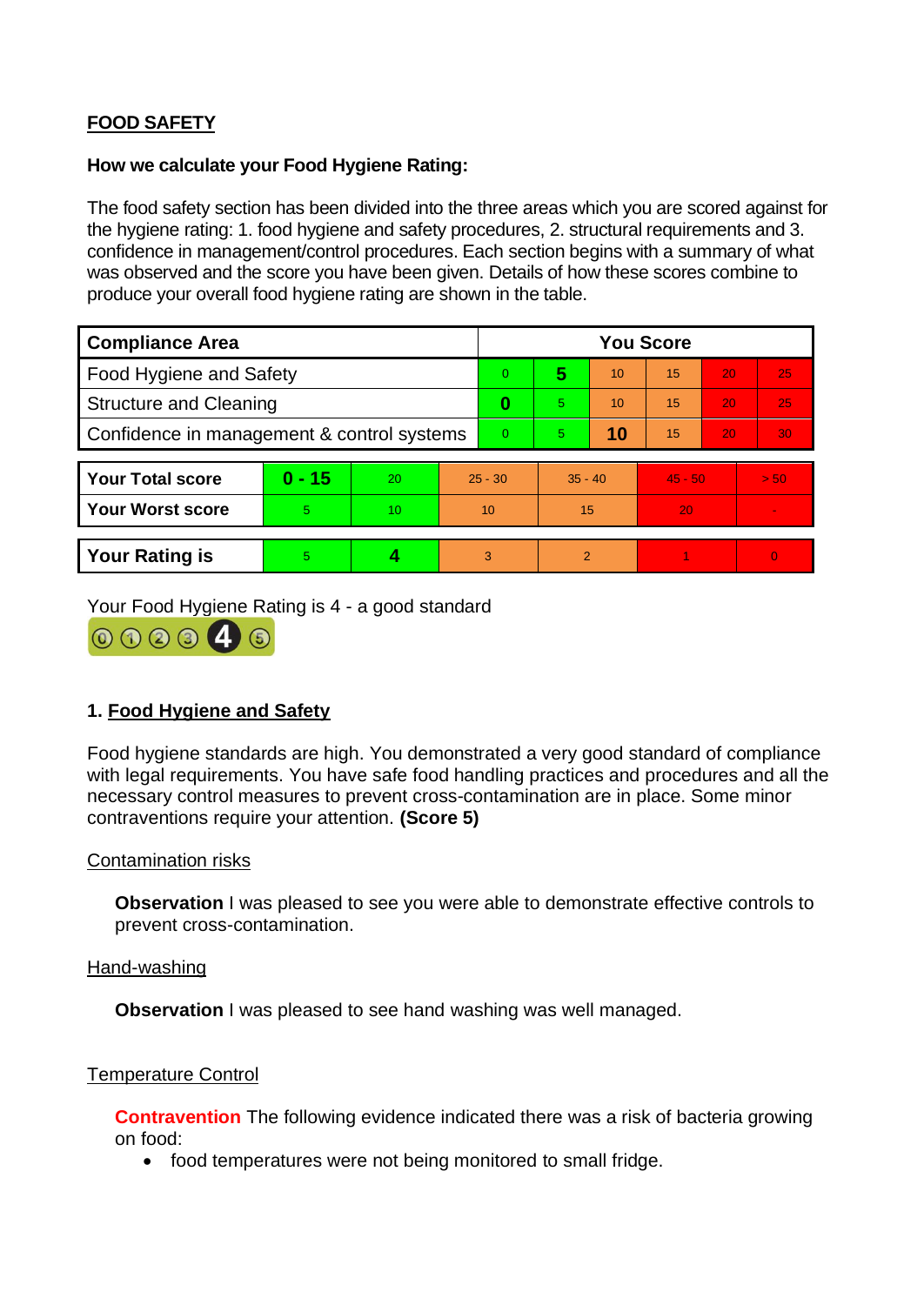# **FOOD SAFETY**

### **How we calculate your Food Hygiene Rating:**

 The food safety section has been divided into the three areas which you are scored against for the hygiene rating: 1. food hygiene and safety procedures, 2. structural requirements and 3. confidence in management/control procedures. Each section begins with a summary of what was observed and the score you have been given. Details of how these scores combine to produce your overall food hygiene rating are shown in the table.

| <b>Compliance Area</b>                     |          |    |           | <b>You Score</b> |                |    |           |    |          |  |  |
|--------------------------------------------|----------|----|-----------|------------------|----------------|----|-----------|----|----------|--|--|
| Food Hygiene and Safety                    |          |    |           | $\Omega$         | 5              | 10 | 15        | 20 | 25       |  |  |
| <b>Structure and Cleaning</b>              |          |    | 0         | 5.               | 10             | 15 | 20        | 25 |          |  |  |
| Confidence in management & control systems |          |    | $\Omega$  | 5.               | 10             | 15 | 20        | 30 |          |  |  |
|                                            |          |    |           |                  |                |    |           |    |          |  |  |
| <b>Your Total score</b>                    | $0 - 15$ | 20 | $25 - 30$ |                  | $35 - 40$      |    | $45 - 50$ |    | > 50     |  |  |
| <b>Your Worst score</b>                    | 5.       | 10 | 10        |                  | 15             |    | 20        |    |          |  |  |
|                                            |          |    |           |                  |                |    |           |    |          |  |  |
| <b>Your Rating is</b>                      | 5        |    | 3         |                  | $\overline{2}$ |    |           |    | $\Omega$ |  |  |

Your Food Hygiene Rating is 4 - a good standard



## **1. Food Hygiene and Safety**

 with legal requirements. You have safe food handling practices and procedures and all the Food hygiene standards are high. You demonstrated a very good standard of compliance necessary control measures to prevent cross-contamination are in place. Some minor contraventions require your attention. **(Score 5)** 

#### Contamination risks

**Observation** I was pleased to see you were able to demonstrate effective controls to prevent cross-contamination.

#### Hand-washing

**Observation** I was pleased to see hand washing was well managed.

#### Temperature Control

**Contravention** The following evidence indicated there was a risk of bacteria growing on food:

• food temperatures were not being monitored to small fridge.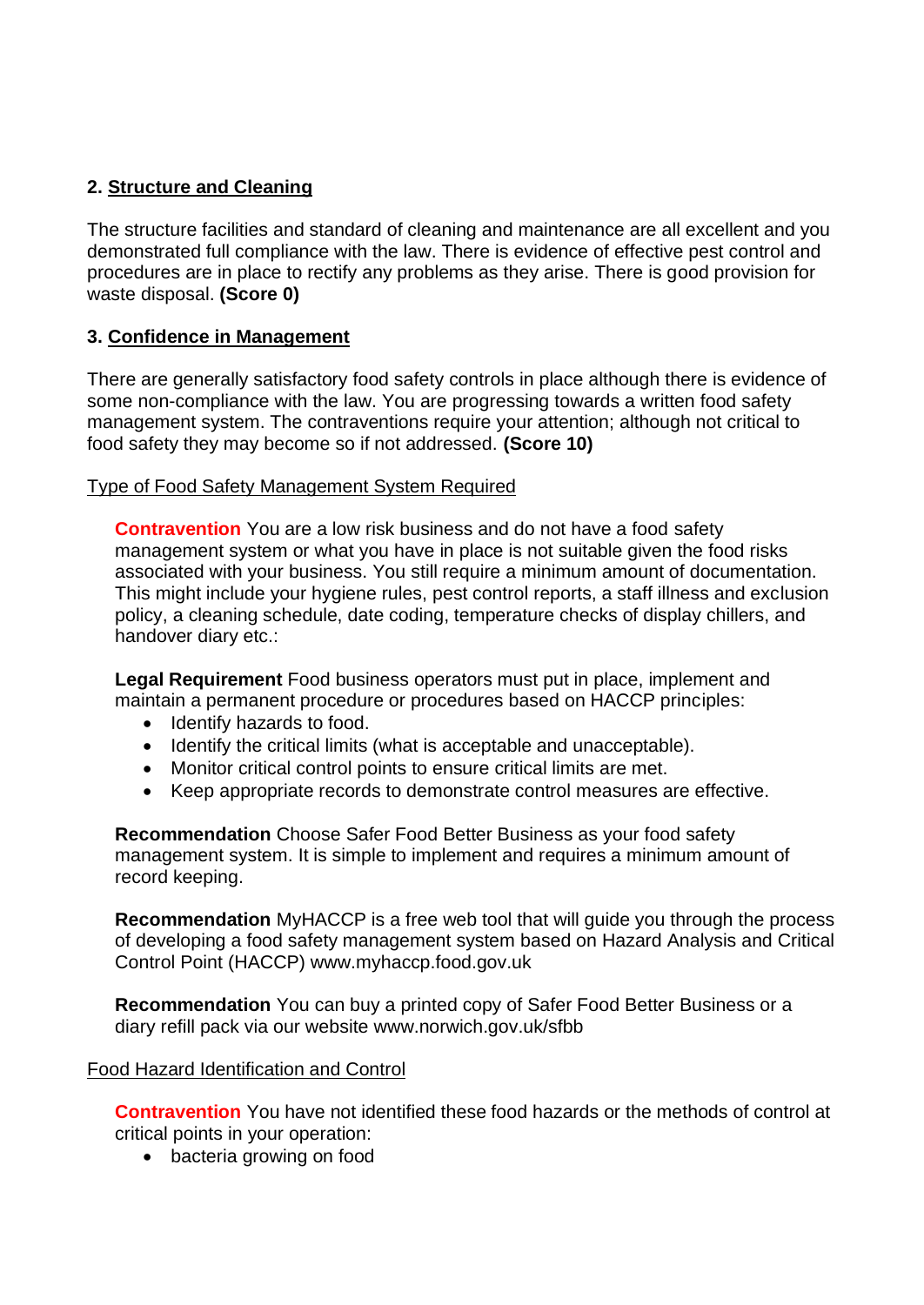# **2. Structure and Cleaning**

The structure facilities and standard of cleaning and maintenance are all excellent and you demonstrated full compliance with the law. There is evidence of effective pest control and procedures are in place to rectify any problems as they arise. There is good provision for waste disposal. **(Score 0)** 

## **3. Confidence in Management**

There are generally satisfactory food safety controls in place although there is evidence of some non-compliance with the law. You are progressing towards a written food safety management system. The contraventions require your attention; although not critical to food safety they may become so if not addressed. **(Score 10)** 

## Type of Food Safety Management System Required

 **Contravention** You are a low risk business and do not have a food safety management system or what you have in place is not suitable given the food risks associated with your business. You still require a minimum amount of documentation. This might include your hygiene rules, pest control reports, a staff illness and exclusion policy, a cleaning schedule, date coding, temperature checks of display chillers, and handover diary etc.:

**Legal Requirement** Food business operators must put in place, implement and maintain a permanent procedure or procedures based on HACCP principles:

- Identify hazards to food.
- Identify the critical limits (what is acceptable and unacceptable).
- Monitor critical control points to ensure critical limits are met.
- Keep appropriate records to demonstrate control measures are effective.

**Recommendation** Choose Safer Food Better Business as your food safety management system. It is simple to implement and requires a minimum amount of record keeping.

**Recommendation** MyHACCP is a free web tool that will guide you through the process of developing a food safety management system based on Hazard Analysis and Critical Control Point (HACCP)<www.myhaccp.food.gov.uk>

**Recommendation** You can buy a printed copy of Safer Food Better Business or a diary refill pack via our website<www.norwich.gov.uk/sfbb>

## Food Hazard Identification and Control

**Contravention** You have not identified these food hazards or the methods of control at critical points in your operation:

• bacteria growing on food